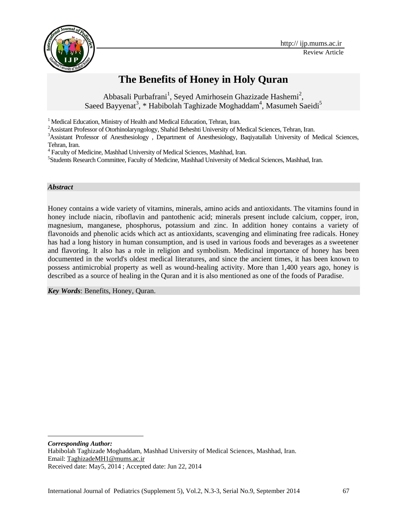

# **The Benefits of Honey in Holy Quran**

Abbasali Purbafrani<sup>1</sup>, Seyed Amirhosein Ghazizade Hashemi<sup>2</sup>, Saeed Bayyenat<sup>3</sup>, \* Habibolah Taghizade Moghaddam<sup>4</sup>, Masumeh Saeidi<sup>5</sup>

<sup>1</sup> Medical Education, Ministry of Health and Medical Education, Tehran, Iran.

<sup>2</sup>Assistant Professor of Otorhinolaryngology, Shahid Beheshti University of Medical Sciences, Tehran, Iran.

<sup>3</sup>Assistant Professor of Anesthesiology , Department of Anesthesiology, Baqiyatallah University of Medical Sciences, Tehran, Iran.

4 Faculty of Medicine, Mashhad University of Medical Sciences, Mashhad, Iran.

<sup>5</sup>Students Research Committee, Faculty of Medicine, Mashhad University of Medical Sciences, Mashhad, Iran.

#### *Abstract*

l

Honey contains a wide variety of vitamins, minerals, amino acids and antioxidants. The vitamins found in honey include niacin, riboflavin and pantothenic acid; minerals present include calcium, copper, iron, magnesium, manganese, phosphorus, potassium and zinc. In addition honey contains a variety of flavonoids and phenolic acids which act as antioxidants, scavenging and eliminating free radicals. Honey has had a long history in human consumption, and is used in various foods and beverages as a sweetener and flavoring. It also has a role in religion and symbolism. Medicinal importance of honey has been documented in the world's oldest medical literatures, and since the ancient times, it has been known to possess antimicrobial property as well as wound-healing activity. More than 1,400 years ago, honey is described as a source of healing in the Quran and it is also mentioned as one of the foods of Paradise.

*Key Words*: Benefits, Honey, Quran.

*Corresponding Author:* Habibolah Taghizade Moghaddam, Mashhad University of Medical Sciences, Mashhad, Iran. Email: [TaghizadeMH1@mums.ac.ir](mailto:TaghizadeMH1@mums.ac.ir) Received date: May5, 2014 ; Accepted date: Jun 22, 2014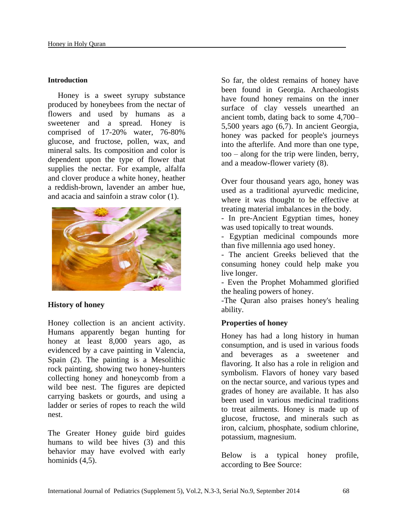#### **Introduction**

 Honey is a sweet syrupy substance produced by honeybees from the nectar of flowers and used by humans as a sweetener and a spread. Honey is comprised of 17-20% water, 76-80% glucose, and fructose, pollen, wax, and mineral salts. Its composition and color is dependent upon the type of flower that supplies the nectar. For example, alfalfa and clover produce a white honey, heather a reddish-brown, lavender an amber hue, and acacia and sainfoin a straw color (1).



#### **History of honey**

Honey collection is an ancient activity. Humans apparently began hunting for honey at least 8,000 years ago, as evidenced by a cave painting in [Valencia,](http://en.wikipedia.org/wiki/Valencian_Community) [Spain](http://en.wikipedia.org/wiki/Spain) (2). The painting is a [Mesolithic](http://en.wikipedia.org/wiki/Mesolithic) rock painting, showing two honey-hunters collecting honey and honeycomb from a wild bee nest. The figures are depicted carrying baskets or gourds, and using a [ladder](http://en.wikipedia.org/wiki/Ladder) or series of ropes to reach the wild nest.

The [Greater Honey](http://en.wikipedia.org/wiki/Greater_Honeyguide) guide bird guides humans to wild bee hives (3) and this behavior may have evolved with early hominids  $(4,5)$ .

So far, the oldest remains of honey have been found in [Georgia.](http://en.wikipedia.org/wiki/Georgia_(country)) Archaeologists have found honey remains on the inner surface of clay vessels unearthed an ancient tomb, dating back to some 4,700– 5,500 years ago (6,7). In ancient Georgia, honey was packed for people's journeys into the afterlife. And more than one type, too – along for the trip were linden, berry, and a meadow-flower variety (8).

Over four thousand years ago, honey was used as a traditional ayurvedic medicine, where it was thought to be effective at treating material imbalances in the body.

- In pre-Ancient Egyptian times, [honey](http://cid.oxfordjournals.org/content/47/5/730.2.full)  [was used topically to treat wounds.](http://cid.oxfordjournals.org/content/47/5/730.2.full)

- Egyptian medicinal compounds more than five millennia ago used honey.

- The ancient Greeks believed that the consuming honey could help make you live longer.

- Even the Prophet Mohammed glorified the healing powers of honey.

-The Quran also praises honey's healing ability.

## **Properties of honey**

Honey has had a long history in human consumption, and is used in various foods and beverages as a sweetener and flavoring. It also has a role in religion and symbolism. Flavors of honey vary based on the nectar source, and various types and grades of honey are available. It has also been used in various medicinal traditions to treat ailments. Honey is made up of glucose, fructose, and minerals such as iron, [calcium,](http://www.medicalnewstoday.com/articles/248958.php) phosphate, sodium chlorine, potassium, magnesium.

Below is a typical honey profile, according to Bee [Source:](http://www.beesource.com/resources/usda/honey-composition-and-properties/)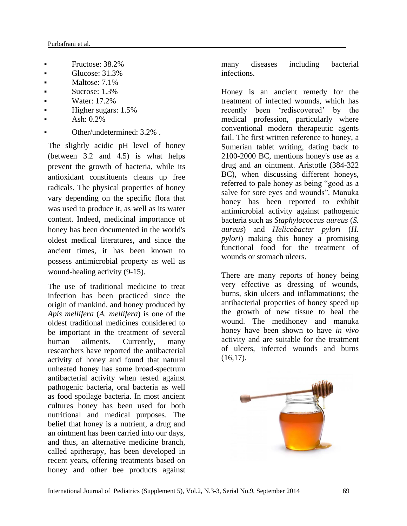- Fructose: 38.2%
- Glucose: 31.3%
- Maltose: 7.1%
- Sucrose: 1.3%
- Water: 17.2%
- Higher sugars: 1.5%
- Ash: 0.2%
- Other/undetermined: 3.2% .

The slightly acidic pH level of honey (between 3.2 and 4.5) is what helps prevent the growth of bacteria, while its antioxidant constituents cleans up free radicals. The physical properties of honey vary depending on the specific flora that was used to produce it, as well as its water content. Indeed, medicinal importance of honey has been documented in the world's oldest medical literatures, and since the ancient times, it has been known to possess antimicrobial property as well as wound-healing activity (9-15).

The use of traditional medicine to treat infection has been practiced since the origin of mankind, and honey produced by *Apis mellifera* (*A. mellifera*) is one of the oldest traditional medicines considered to be important in the treatment of several human ailments. Currently, many researchers have reported the antibacterial activity of honey and found that natural unheated honey has some broad-spectrum antibacterial activity when tested against pathogenic bacteria, oral bacteria as well as food spoilage bacteria. In most ancient cultures honey has been used for both nutritional and medical purposes. The belief that honey is a nutrient, a drug and an ointment has been carried into our days, and thus, an alternative medicine branch, called apitherapy, has been developed in recent years, offering treatments based on honey and other bee products against many diseases including bacterial infections.

Honey is an ancient remedy for the treatment of infected wounds, which has recently been 'rediscovered' by the medical profession, particularly where conventional modern therapeutic agents fail. The first written reference to honey, a Sumerian tablet writing, dating back to 2100-2000 BC, mentions honey's use as a drug and an ointment. Aristotle (384-322 BC), when discussing different honeys, referred to pale honey as being "good as a salve for sore eyes and wounds". Manuka honey has been reported to exhibit antimicrobial activity against pathogenic bacteria such as *Staphylococcus aureus* (*S. aureus*) and *Helicobacter pylori* (*H. pylori*) making this honey a promising functional food for the treatment of wounds or stomach ulcers.

There are many reports of honey being very effective as dressing of wounds, burns, skin ulcers and inflammations; the antibacterial properties of honey speed up the growth of new tissue to heal the wound. The medihoney and manuka honey have been shown to have *in vivo* activity and are suitable for the treatment of ulcers, infected wounds and burns  $(16,17)$ .

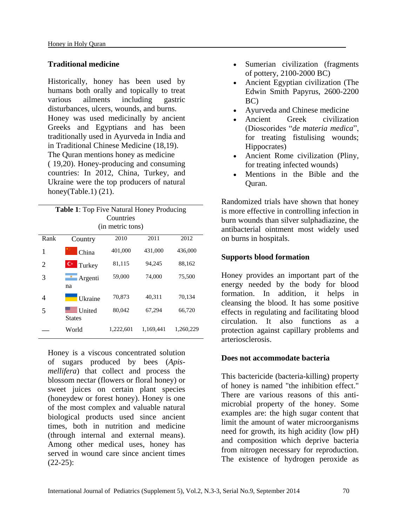#### **Traditional medicine**

Historically, honey has been used by humans both orally and topically to treat various ailments including gastric disturbances, ulcers, wounds, and burns. Honey was used medicinally by ancient Greeks and Egyptians and has been traditionally used in [Ayurveda](http://en.wikipedia.org/wiki/Ayurveda) in India and in [Traditional Chinese Medicine](http://en.wikipedia.org/wiki/Traditional_Chinese_Medicine) (18,19). The [Quran](http://en.wikipedia.org/wiki/Quran) mentions honey as medicine ( 19,20). Honey-producing and consuming countries: In 2012, [China,](http://en.wikipedia.org/wiki/China) [Turkey,](http://en.wikipedia.org/wiki/Turkey) and [Ukraine](http://en.wikipedia.org/wiki/Ukraine) were the top producers of natural honey(Table.1)  $(21)$ .

| <b>Table 1:</b> Top Five Natural Honey Producing<br>Countries<br>(in metric tons) |                                |           |           |           |
|-----------------------------------------------------------------------------------|--------------------------------|-----------|-----------|-----------|
| Rank                                                                              | Country                        | 2010      | 2011      | 2012      |
| 1                                                                                 | China                          | 401,000   | 431,000   | 436,000   |
| 2                                                                                 | $\mathbf{C}^*$<br>Turkey       | 81,115    | 94,245    | 88,162    |
| 3                                                                                 | Argenti<br>na                  | 59,000    | 74,000    | 75,500    |
| 4                                                                                 | <b>Ukraine</b>                 | 70,873    | 40,311    | 70,134    |
| 5                                                                                 | <b>United</b><br><b>States</b> | 80,042    | 67,294    | 66,720    |
|                                                                                   | World                          | 1,222,601 | 1,169,441 | 1,260,229 |

Honey is a viscous concentrated solution of sugars produced by bees (*Apismellifera*) that collect and process the blossom nectar (flowers or floral honey) or sweet juices on certain plant species (honeydew or forest honey). Honey is one of the most complex and valuable natural biological products used since ancient times, both in nutrition and medicine (through internal and external means). Among other medical uses, honey has served in wound care since ancient times  $(22-25)$ :

- Sumerian civilization (fragments of pottery, 2100-2000 BC)
- Ancient Egyptian civilization (The Edwin Smith Papyrus, 2600-2200 BC)
- Ayurveda and Chinese medicine
- Ancient Greek civilization (Dioscorides "*de materia medica*", for treating fistulising wounds; Hippocrates)
- Ancient Rome civilization (Pliny, for treating infected wounds)
- Mentions in the Bible and the Quran.

Randomized trials have shown that honey is more effective in controlling infection in burn wounds than silver sulphadiazine, the antibacterial ointment most widely used on burns in hospitals.

## **Supports blood formation**

Honey provides an important part of the energy needed by the body for blood formation. In addition, it helps in cleansing the blood. It has some positive effects in regulating and facilitating blood circulation. It also functions as a protection against capillary problems and arteriosclerosis.

## **Does not accommodate bacteria**

This bactericide (bacteria-killing) property of honey is named "the inhibition effect." There are various reasons of this antimicrobial property of the honey. Some examples are: the high sugar content that limit the amount of water microorganisms need for growth, its high acidity (low pH) and composition which deprive bacteria from nitrogen necessary for reproduction. The existence of hydrogen peroxide as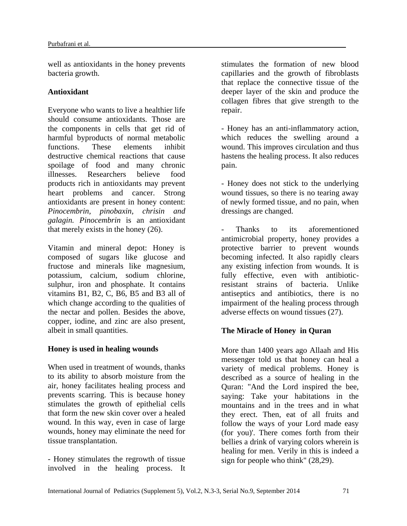well as antioxidants in the honey prevents bacteria growth.

## **Antioxidant**

Everyone who wants to live a healthier life should consume antioxidants. Those are the components in cells that get rid of harmful byproducts of normal metabolic functions. These elements inhibit destructive chemical reactions that cause spoilage of food and many chronic illnesses. Researchers believe food products rich in antioxidants may prevent heart problems and cancer. Strong antioxidants are present in honey content: *Pinocembrin, pinobaxin, chrisin and galagin. Pinocembrin* is an antioxidant that merely exists in the honey (26).

Vitamin and mineral depot: Honey is composed of sugars like glucose and fructose and minerals like magnesium, potassium, calcium, sodium chlorine, sulphur, iron and phosphate. It contains vitamins B1, B2, C, B6, B5 and B3 all of which change according to the qualities of the nectar and pollen. Besides the above, copper, iodine, and zinc are also present, albeit in small quantities.

# **Honey is used in healing wounds**

When used in treatment of wounds, thanks to its ability to absorb moisture from the air, honey facilitates healing process and prevents scarring. This is because honey stimulates the growth of epithelial cells that form the new skin cover over a healed wound. In this way, even in case of large wounds, honey may eliminate the need for tissue transplantation.

- Honey stimulates the regrowth of tissue involved in the healing process. It stimulates the formation of new blood capillaries and the growth of fibroblasts that replace the connective tissue of the deeper layer of the skin and produce the collagen fibres that give strength to the repair.

- Honey has an anti-inflammatory action, which reduces the swelling around a wound. This improves circulation and thus hastens the healing process. It also reduces pain.

- Honey does not stick to the underlying wound tissues, so there is no tearing away of newly formed tissue, and no pain, when dressings are changed.

Thanks to its aforementioned antimicrobial property, honey provides a protective barrier to prevent wounds becoming infected. It also rapidly clears any existing infection from wounds. It is fully effective, even with antibioticresistant strains of bacteria. Unlike antiseptics and antibiotics, there is no impairment of the healing process through adverse effects on wound tissues (27).

# **The Miracle of Honey in Quran**

More than 1400 years ago Allaah and His messenger told us that honey can heal a variety of medical problems. Honey is described as a source of healing in the Quran: "And the Lord inspired the bee, saying: Take your habitations in the mountains and in the trees and in what they erect. Then, eat of all fruits and follow the ways of your Lord made easy (for you)'. There comes forth from their bellies a drink of varying colors wherein is healing for men. Verily in this is indeed a sign for people who think" (28,29).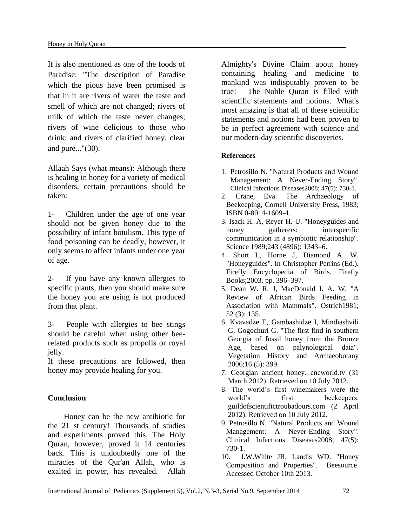It is also mentioned as one of the foods of [Paradise:](http://islam.about.com/od/heavenhell/tp/Heaven-In-The-Quran.htm) "The description of Paradise which the pious have been promised is that in it are rivers of water the taste and smell of which are not changed; rivers of milk of which the taste never changes; rivers of wine delicious to those who drink; and rivers of clarified honey, clear and pure..."(30).

Allaah Says (what means): Although there is healing in honey for a variety of medical disorders, certain precautions should be taken:

1- Children under the age of one year should not be given honey due to the possibility of infant botulism. This type of food poisoning can be deadly, however, it only seems to affect infants under one year of age.

2- If you have any known allergies to specific plants, then you should make sure the honey you are using is not produced from that plant.

3- People with allergies to bee stings should be careful when using other beerelated products such as propolis or royal jelly.

If these precautions are followed, then honey may provide healing for you.

# **Conclusion**

 Honey can be the new antibiotic for the 21 st century! Thousands of studies and experiments proved this. The Holy Quran, however, proved it 14 centuries back. This is undoubtedly one of the miracles of the Qur'an Allah, who is exalted in power, has revealed. Allah

Almighty's Divine Claim about honey containing healing and medicine to mankind was indisputably proven to be true! The Noble Quran is filled with scientific statements and notions. What's most amazing is that all of these scientific statements and notions had been proven to be in [perfect agreement with science](http://www.answering-christianity.com/sci_quran.htm) and our modern-day scientific discoveries.

#### **References**

- 1. Petrosillo N. ["Natural Products and Wound](http://cid.oxfordjournals.org/content/47/5/730.2.full)  [Management: A Never-Ending Story".](http://cid.oxfordjournals.org/content/47/5/730.2.full) Clinical Infectious Diseases2008; 47(5): 730-1.
- 2. Crane, Eva. The Archaeology of Beekeeping, Cornell University Press, 1983; [ISBN 0-8014-1609-4.](http://en.wikipedia.org/wiki/Special:BookSources/0801416094)
- 3. Isack H. A, Reyer H.-U. "Honeyguides and honey gatherers: interspecific communication in a symbiotic relationship". Science 1989;243 (4896): 1343–6.
- 4. Short L, Horne J, Diamond A. W. "Honeyguides". In Christopher Perrins (Ed.). Firefly Encyclopedia of Birds. Firefly Books;2003. pp. 396–397.
- 5. Dean W. R. J, MacDonald I. A. W. "A Review of African Birds Feeding in Association with Mammals". Ostrich1981; 52 (3): 135.
- 6. Kvavadze E, Gambashidze I, Mindiashvili G, Gogochuri G. "The first find in southern Georgia of fossil honey from the Bronze Age, based on palynological data". Vegetation History and Archaeobotany 2006;16 (5): 399.
- 7. [Georgian ancient honey.](http://www.cncworld.tv/news/v_show/23243_Georgian_ancient_honey.shtml) cncworld.tv (31 March 2012). Retrieved on 10 July 2012.
- 8. [The world's first winemakers were the](http://guildofscientifictroubadours.com/2012/04/02/the-worlds-first-winemakers-were-the-worlds-first-beekeepers/)  [world's first beekeepers.](http://guildofscientifictroubadours.com/2012/04/02/the-worlds-first-winemakers-were-the-worlds-first-beekeepers/) guildofscientifictroubadours.com (2 April 2012). Retrieved on 10 July 2012.
- 9. Petrosillo N. ["Natural Products and Wound](http://cid.oxfordjournals.org/content/47/5/730.2.full)  [Management: A Never-Ending Story".](http://cid.oxfordjournals.org/content/47/5/730.2.full) Clinical Infectious Diseases2008; 47(5): 730-1.
- 10. J.W.White JR, Landis WD. ["Honey](http://www.beesource.com/resources/usda/honey-composition-and-properties/)  [Composition and Properties".](http://www.beesource.com/resources/usda/honey-composition-and-properties/) Beesource. Accessed October 10th 2013.